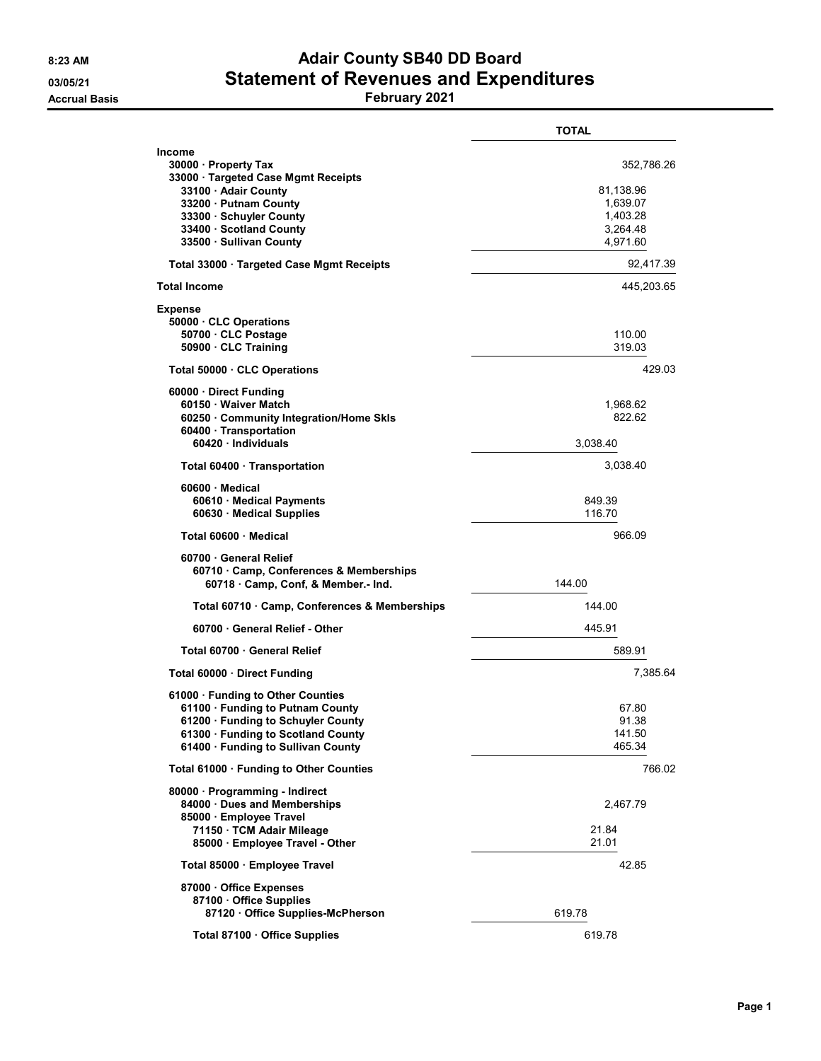## 8:23 AM **Adair County SB40 DD Board** 03/05/21 Statement of Revenues and Expenditures

Accrual Basis February 2021

|                                                                                                                                                                                                                | <b>TOTAL</b>                                                            |
|----------------------------------------------------------------------------------------------------------------------------------------------------------------------------------------------------------------|-------------------------------------------------------------------------|
| <b>Income</b><br>30000 · Property Tax<br>33000 · Targeted Case Mgmt Receipts<br>33100 · Adair County<br>33200 · Putnam County<br>33300 · Schuyler County<br>33400 · Scotland County<br>33500 · Sullivan County | 352,786.26<br>81,138.96<br>1,639.07<br>1,403.28<br>3,264.48<br>4,971.60 |
| Total 33000 · Targeted Case Mgmt Receipts                                                                                                                                                                      | 92,417.39                                                               |
| <b>Total Income</b>                                                                                                                                                                                            | 445,203.65                                                              |
| <b>Expense</b><br>50000 CLC Operations<br>50700 · CLC Postage<br>50900 CLC Training                                                                                                                            | 110.00<br>319.03                                                        |
| Total 50000 CLC Operations                                                                                                                                                                                     | 429.03                                                                  |
| 60000 Direct Funding<br>60150 · Waiver Match<br>60250 Community Integration/Home Skls<br>60400 · Transportation<br>60420 Individuals                                                                           | 1,968.62<br>822.62<br>3,038.40                                          |
| Total 60400 · Transportation                                                                                                                                                                                   | 3,038.40                                                                |
| 60600 Medical<br>60610 Medical Payments<br>60630 · Medical Supplies                                                                                                                                            | 849.39<br>116.70                                                        |
| Total 60600 Medical                                                                                                                                                                                            | 966.09                                                                  |
| 60700 General Relief<br>60710 Camp, Conferences & Memberships<br>60718 Camp, Conf, & Member.- Ind.                                                                                                             | 144.00                                                                  |
| Total 60710 · Camp, Conferences & Memberships                                                                                                                                                                  | 144.00                                                                  |
| 60700 General Relief - Other                                                                                                                                                                                   | 445.91                                                                  |
| Total 60700 General Relief                                                                                                                                                                                     | 589.91                                                                  |
| Total 60000 Direct Funding                                                                                                                                                                                     | 7,385.64                                                                |
| 61000 · Funding to Other Counties<br>61100 Funding to Putnam County<br>61200 · Funding to Schuyler County<br>61300 · Funding to Scotland County<br>61400 · Funding to Sullivan County                          | 67.80<br>91.38<br>141.50<br>465.34                                      |
| Total 61000 · Funding to Other Counties                                                                                                                                                                        | 766.02                                                                  |
| 80000 · Programming - Indirect<br>84000 Dues and Memberships<br>85000 Employee Travel<br>71150 · TCM Adair Mileage<br>85000 · Employee Travel - Other                                                          | 2,467.79<br>21.84<br>21.01                                              |
| Total 85000 Employee Travel                                                                                                                                                                                    | 42.85                                                                   |
| 87000 Office Expenses<br>87100 Office Supplies<br>87120 Office Supplies-McPherson                                                                                                                              | 619.78                                                                  |
| Total 87100 · Office Supplies                                                                                                                                                                                  | 619.78                                                                  |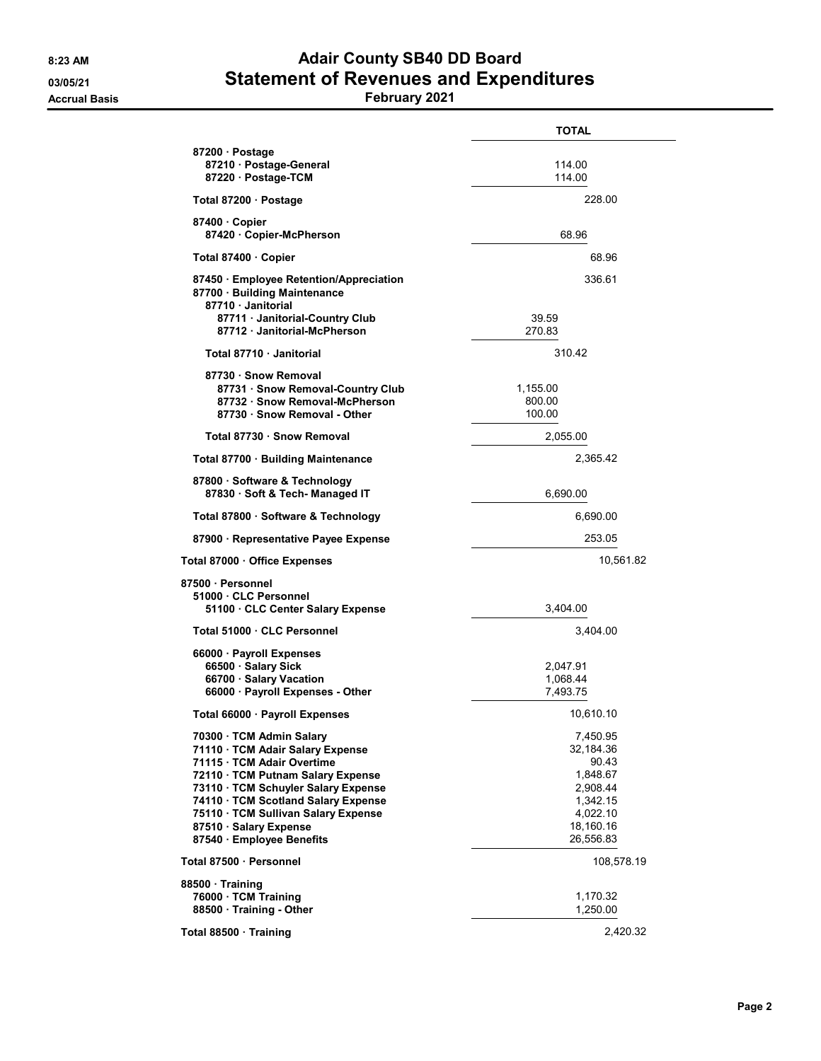## 8:23 AM **Adair County SB40 DD Board** 03/05/21 Statement of Revenues and Expenditures

Accrual Basis February 2021

|                                                                                                                                                                                                                                                                                                             | <b>TOTAL</b>                                                                                             |
|-------------------------------------------------------------------------------------------------------------------------------------------------------------------------------------------------------------------------------------------------------------------------------------------------------------|----------------------------------------------------------------------------------------------------------|
| 87200 Postage<br>87210 · Postage-General<br>87220 · Postage-TCM                                                                                                                                                                                                                                             | 114.00<br>114.00                                                                                         |
| Total 87200 · Postage                                                                                                                                                                                                                                                                                       | 228.00                                                                                                   |
| 87400 Copier<br>87420 Copier-McPherson                                                                                                                                                                                                                                                                      | 68.96                                                                                                    |
| Total 87400 Copier                                                                                                                                                                                                                                                                                          | 68.96                                                                                                    |
| 87450 Employee Retention/Appreciation<br>87700 Building Maintenance<br>87710 Janitorial<br>87711 · Janitorial-Country Club                                                                                                                                                                                  | 336.61<br>39.59                                                                                          |
| 87712 · Janitorial-McPherson                                                                                                                                                                                                                                                                                | 270.83                                                                                                   |
| Total 87710 · Janitorial                                                                                                                                                                                                                                                                                    | 310.42                                                                                                   |
| 87730 · Snow Removal<br>87731 · Snow Removal-Country Club<br>87732 · Snow Removal-McPherson<br>87730 · Snow Removal - Other                                                                                                                                                                                 | 1,155.00<br>800.00<br>100.00                                                                             |
| Total 87730 · Snow Removal                                                                                                                                                                                                                                                                                  | 2,055.00                                                                                                 |
| Total 87700 · Building Maintenance                                                                                                                                                                                                                                                                          | 2,365.42                                                                                                 |
| 87800 · Software & Technology<br>87830 · Soft & Tech- Managed IT                                                                                                                                                                                                                                            | 6,690.00                                                                                                 |
| Total 87800 · Software & Technology                                                                                                                                                                                                                                                                         | 6,690.00                                                                                                 |
| 87900 · Representative Payee Expense                                                                                                                                                                                                                                                                        | 253.05                                                                                                   |
| Total 87000 · Office Expenses                                                                                                                                                                                                                                                                               | 10,561.82                                                                                                |
| 87500 · Personnel<br>51000 CLC Personnel<br>51100 CLC Center Salary Expense                                                                                                                                                                                                                                 | 3,404.00                                                                                                 |
| Total 51000 · CLC Personnel                                                                                                                                                                                                                                                                                 | 3,404.00                                                                                                 |
| 66000 · Payroll Expenses<br>66500 · Salary Sick<br>66700 · Salary Vacation<br>66000 · Payroll Expenses - Other                                                                                                                                                                                              | 2,047.91<br>1,068.44<br>7,493.75                                                                         |
| Total 66000 · Payroll Expenses                                                                                                                                                                                                                                                                              | 10,610.10                                                                                                |
| 70300 · TCM Admin Salary<br>71110 · TCM Adair Salary Expense<br>71115 · TCM Adair Overtime<br>72110 · TCM Putnam Salary Expense<br>73110 · TCM Schuyler Salary Expense<br>74110 · TCM Scotland Salary Expense<br>75110 · TCM Sullivan Salary Expense<br>87510 · Salary Expense<br>87540 · Employee Benefits | 7,450.95<br>32,184.36<br>90.43<br>1,848.67<br>2,908.44<br>1,342.15<br>4,022.10<br>18,160.16<br>26,556.83 |
| Total 87500 · Personnel                                                                                                                                                                                                                                                                                     | 108,578.19                                                                                               |
| 88500 Training<br>76000 · TCM Training<br>88500 · Training - Other                                                                                                                                                                                                                                          | 1,170.32<br>1,250.00                                                                                     |
| Total 88500 · Training                                                                                                                                                                                                                                                                                      | 2,420.32                                                                                                 |